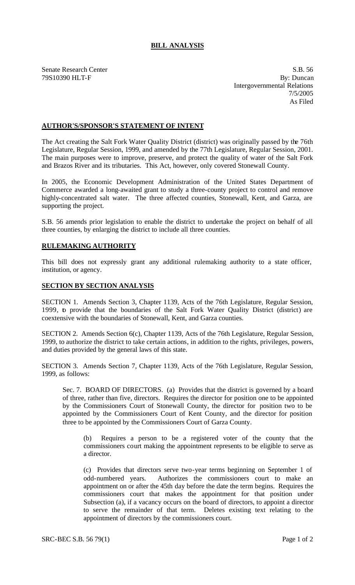## **BILL ANALYSIS**

Senate Research Center S.B. 56 79S10390 HLT-F By: Duncan Intergovernmental Relations 7/5/2005 As Filed

## **AUTHOR'S/SPONSOR'S STATEMENT OF INTENT**

The Act creating the Salt Fork Water Quality District (district) was originally passed by the 76th Legislature, Regular Session, 1999, and amended by the 77th Legislature, Regular Session, 2001. The main purposes were to improve, preserve, and protect the quality of water of the Salt Fork and Brazos River and its tributaries. This Act, however, only covered Stonewall County.

In 2005, the Economic Development Administration of the United States Department of Commerce awarded a long-awaited grant to study a three-county project to control and remove highly-concentrated salt water. The three affected counties, Stonewall, Kent, and Garza, are supporting the project.

S.B. 56 amends prior legislation to enable the district to undertake the project on behalf of all three counties, by enlarging the district to include all three counties.

## **RULEMAKING AUTHORITY**

This bill does not expressly grant any additional rulemaking authority to a state officer, institution, or agency.

## **SECTION BY SECTION ANALYSIS**

SECTION 1. Amends Section 3, Chapter 1139, Acts of the 76th Legislature, Regular Session, 1999, to provide that the boundaries of the Salt Fork Water Quality District (district) are coextensive with the boundaries of Stonewall, Kent, and Garza counties.

SECTION 2. Amends Section 6(c), Chapter 1139, Acts of the 76th Legislature, Regular Session, 1999, to authorize the district to take certain actions, in addition to the rights, privileges, powers, and duties provided by the general laws of this state.

SECTION 3. Amends Section 7, Chapter 1139, Acts of the 76th Legislature, Regular Session, 1999, as follows:

Sec. 7. BOARD OF DIRECTORS. (a) Provides that the district is governed by a board of three, rather than five, directors. Requires the director for position one to be appointed by the Commissioners Court of Stonewall County, the director for position two to be appointed by the Commissioners Court of Kent County, and the director for position three to be appointed by the Commissioners Court of Garza County.

Requires a person to be a registered voter of the county that the commissioners court making the appointment represents to be eligible to serve as a director.

(c) Provides that directors serve two-year terms beginning on September 1 of odd-numbered years. Authorizes the commissioners court to make an appointment on or after the 45th day before the date the term begins. Requires the commissioners court that makes the appointment for that position under Subsection (a), if a vacancy occurs on the board of directors, to appoint a director to serve the remainder of that term. Deletes existing text relating to the appointment of directors by the commissioners court.